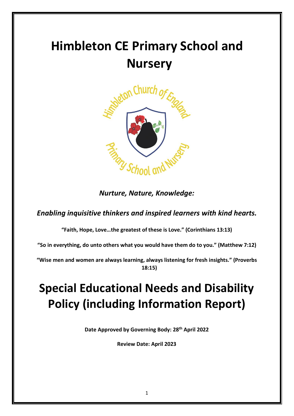# **Himbleton CE Primary School and Nursery**



*Nurture, Nature, Knowledge:*

*Enabling inquisitive thinkers and inspired learners with kind hearts.*

**"Faith, Hope, Love…the greatest of these is Love." (Corinthians 13:13)**

**"So in everything, do unto others what you would have them do to you." (Matthew 7:12)**

**"Wise men and women are always learning, always listening for fresh insights." (Proverbs 18:15)**

## **Special Educational Needs and Disability Policy (including Information Report)**

**Date Approved by Governing Body: 28th April 2022**

**Review Date: April 2023**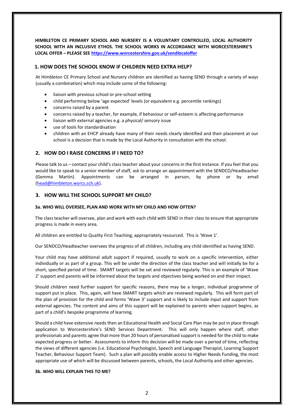**HIMBLETON CE PRIMARY SCHOOL AND NURSERY IS A VOLUNTARY CONTROLLED, LOCAL AUTHORITY SCHOOL WITH AN INCLUSIVE ETHOS. THE SCHOOL WORKS IN ACCORDANCE WITH WORCESTERSHIRE'S LOCAL OFFER – PLEASE SEE<https://www.worcestershire.gov.uk/sendlocaloffer>**

## **1. HOW DOES THE SCHOOL KNOW IF CHILDREN NEED EXTRA HELP?**

At Himbleton CE Primary School and Nursery children are identified as having SEND through a variety of ways (usually a combination) which may include some of the following:

- liaison with previous school or pre-school setting
- child performing below 'age expected' levels (or equivalent e.g. percentile rankings)
- concerns raised by a parent
- concerns raised by a teacher, for example, if behaviour or self-esteem is affecting performance
- liaison with external agencies e.g. a physical/ sensory issue
- use of tools for standardisation
- children with an EHCP already have many of their needs clearly identified and their placement at our school is a decision that is made by the Local Authority in consultation with the school.

## **2. HOW DO I RAISE CONCERNS IF I NEED TO?**

Please talk to us – contact your child's class teacher about your concerns in the first instance. If you feel that you would like to speak to a senior member of staff, ask to arrange an appointment with the SENDCO/Headteacher (Gemma Martin). Appointments can be arranged in person, by phone or by email [\(head@himbleton.worcs.sch.uk\)](mailto:head@himbleton.worcs.sch.uk).

#### **3. HOW WILL THE SCHOOL SUPPORT MY CHILD?**

#### **3a. WHO WILL OVERSEE, PLAN AND WORK WITH MY CHILD AND HOW OFTEN?**

The class teacher will oversee, plan and work with each child with SEND in their class to ensure that appropriate progress is made in every area.

All children are entitled to Quality First Teaching, appropriately resourced. This is 'Wave 1'.

Our SENDCO/Headteacher oversees the progress of all children, including any child identified as having SEND.

Your child may have additional adult support if required, usually to work on a specific intervention, either individually or as part of a group. This will be under the direction of the class teacher and will initially be for a short, specified period of time. SMART targets will be set and reviewed regularly. This is an example of 'Wave 2' support and parents will be informed about the targets and objectives being worked on and their impact.

Should children need further support for specific reasons, there may be a longer, individual programme of support put in place. This, again, will have SMART targets which are reviewed regularly. This will form part of the plan of provision for the child and forms 'Wave 3' support and is likely to include input and support from external agencies. The content and aims of this support will be explained to parents when support begins, as part of a child's bespoke programme of learning.

Should a child have extensive needs then an Educational Health and Social Care Plan may be put in place through application to Worcestershire's SEND Services Department. This will only happen where staff, other professionals and parents agree that more than 20 hours of personalised support is needed for the child to make expected progress or better. Assessments to inform this decision will be made over a period of time, reflecting the views of different agencies (i.e. Educational Psychologist, Speech and Language Therapist, Learning Support Teacher, Behaviour Support Team). Such a plan will possibly enable access to Higher Needs Funding, the most appropriate use of which will be discussed between parents, schools, the Local Authority and other agencies.

#### **3b. WHO WILL EXPLAIN THIS TO ME?**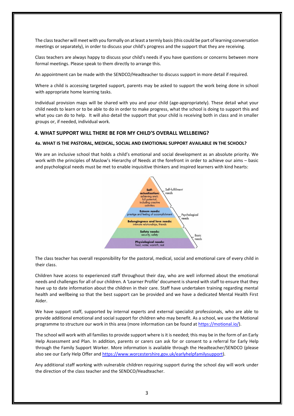The class teacher will meet with you formally on at least a termly basis (this could be part of learning conversation meetings or separately), in order to discuss your child's progress and the support that they are receiving.

Class teachers are always happy to discuss your child's needs if you have questions or concerns between more formal meetings. Please speak to them directly to arrange this.

An appointment can be made with the SENDCO/Headteacher to discuss support in more detail if required.

Where a child is accessing targeted support, parents may be asked to support the work being done in school with appropriate home learning tasks.

Individual provision maps will be shared with you and your child (age-appropriately). These detail what your child needs to learn or to be able to do in order to make progress, what the school is doing to support this and what you can do to help. It will also detail the support that your child is receiving both in class and in smaller groups or, if needed, individual work.

#### **4. WHAT SUPPORT WILL THERE BE FOR MY CHILD'S OVERALL WELLBEING?**

#### **4a. WHAT IS THE PASTORAL, MEDICAL, SOCIAL AND EMOTIONAL SUPPORT AVAILABLE IN THE SCHOOL?**

We are an inclusive school that holds a child's emotional and social development as an absolute priority. We work with the principles of Maslow's Hierarchy of Needs at the forefront in order to achieve our aims – basic and psychological needs must be met to enable inquisitive thinkers and inspired learners with kind hearts:



The class teacher has overall responsibility for the pastoral, medical, social and emotional care of every child in their class.

Children have access to experienced staff throughout their day, who are well informed about the emotional needs and challenges for all of our children. A 'Learner Profile' document is shared with staff to ensure that they have up to date information about the children in their care. Staff have undertaken training regarding mental health and wellbeing so that the best support can be provided and we have a dedicated Mental Health First Aider.

We have support staff, supported by internal experts and external specialist professionals, who are able to provide additional emotional and social support for children who may benefit. As a school, we use the Motional programme to structure our work in this area (more information can be found at [https://motional.io/\)](https://motional.io/).

The school will work with all families to provide support where is it is needed; this may be in the form of an Early Help Assessment and Plan. In addition, parents or carers can ask for or consent to a referral for Early Help through the Family Support Worker. More information is available through the Headteacher/SENDCO (please also see our Early Help Offer an[d https://www.worcestershire.gov.uk/earlyhelpfamilysupport\)](https://www.worcestershire.gov.uk/earlyhelpfamilysupport).

Any additional staff working with vulnerable children requiring support during the school day will work under the direction of the class teacher and the SENDCO/Headteacher.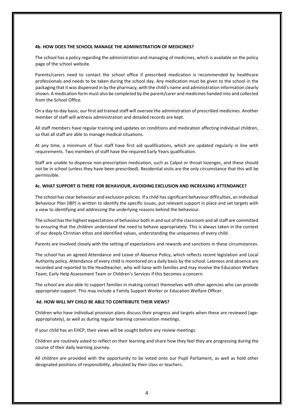#### **4b. HOW DOES THE SCHOOL MANAGE THE ADMINISTRATION OF MEDICINES?**

The school has a policy regarding the administration and managing of medicines, which is available on the policy page of the school website.

Parents/carers need to contact the school office if prescribed medication is recommended by healthcare professionals and needs to be taken during the school day. Any medication must be given to the school in the packaging that it was dispensed in by the pharmacy, with the child's name and administration information clearly shown. A medication form must also be completed by the parent/carer and medicines handed into and collected from the School Office.

On a day-to-day basis, our first aid trained staff will oversee the administration of prescribed medicines. Another member of staff will witness administration and detailed records are kept.

All staff members have regular training and updates on conditions and medication affecting individual children, so that all staff are able to manage medical situations.

At any time, a minimum of four staff have first aid qualifications, which are updated regularly in line with requirements. Two members of staff have the required Early Years qualification.

Staff are unable to dispense non-prescription medication, such as Calpol or throat lozenges, and these should not be in school (unless they have been prescribed). Residential visits are the only circumstance that this will be permissible.

#### **4c. WHAT SUPPORT IS THERE FOR BEHAVIOUR, AVOIDING EXCLUSION AND INCREASING ATTENDANCE?**

The school has clear behaviour and exclusion policies. If a child has significant behaviour difficulties, an Individual Behaviour Plan (IBP) is written to identify the specific issues, put relevant support in place and set targets with a view to identifying and addressing the underlying reasons behind the behaviour.

The school has the highest expectations of behaviour both in and out of the classroom and all staff are committed to ensuring that the children understand the need to behave appropriately. This is always taken in the context of our deeply Christian ethos and identified values, understanding the uniqueness of every child.

Parents are involved closely with the setting of expectations and rewards and sanctions in these circumstances.

The school has an agreed Attendance and Leave of Absence Policy, which reflects recent legislation and Local Authority policy. Attendance of every child is monitored on a daily basis by the school. Lateness and absence are recorded and reported to the Headteacher, who will liaise with families and may involve the Education Welfare Team, Early Help Assessment Team or Children's Services if this becomes a concern.

The school are also able to support families in making contact themselves with other agencies who can provide appropriate support. This may include a Family Support Worker or Education Welfare Officer.

#### **4d. HOW WILL MY CHILD BE ABLE TO CONTRIBUTE THEIR VIEWS?**

Children who have individual provision plans discuss their progress and targets when these are reviewed (ageappropriately), as well as during regular learning conversation meetings.

If your child has an EHCP, their views will be sought before any review meetings.

Children are routinely asked to reflect on their learning and share how they feel they are progressing during the course of their daily learning journey.

All children are provided with the opportunity to be voted onto our Pupil Parliament, as well as hold other designated positions of responsibility, allocated by their class or teachers.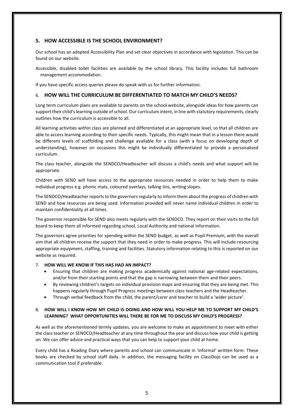## **5. HOW ACCESSIBLE IS THE SCHOOL ENVIRONMENT?**

Our school has an adopted Accessibility Plan and set clear objectives in accordance with legislation. This can be found on our website.

Accessible, disabled toilet facilities are available by the school library. This facility includes full bathroom management accommodation.

If you have specific access queries please do speak with us for further information.

#### 6. **HOW WILL THE CURRICULUM BE DIFFERENTIATED TO MATCH MY CHILD'S NEEDS?**

Long term curriculum plans are available to parents on the school website, alongside ideas for how parents can support their child's learning outside of school. Our curriculum intent, in line with statutory requirements, clearly outlines how the curriculum is accessible to all.

All learning activities within class are planned and differentiated at an appropriate level, so that all children are able to access learning according to their specific needs. Typically, this might mean that in a lesson there would be different levels of scaffolding and challenge available for a class (with a focus on developing depth of understanding), however on occasions this might be individually differentiated to provide a personalised curriculum.

The class teacher, alongside the SENDCO/Headteacher will discuss a child's needs and what support will be appropriate.

Children with SEND will have access to the appropriate resources needed in order to help them to make individual progress e.g. phonic mats, coloured overlays, talking tins, writing slopes.

The SENDCO/Headteacher reports to the governors regularly to inform them about the progress of children with SEND and how resources are being used. Information provided will never name individual children in order to maintain confidentiality at all times.

The governor responsible for SEND also meets regularly with the SENDCO. They report on their visits to the full board to keep them all informed regarding school, Local Authority and national information.

The governors agree priorities for spending within the SEND budget, as well as Pupil Premium, with the overall aim that all children receive the support that they need in order to make progress. This will include resourcing appropriate equipment, staffing, training and facilities. Statutory information relating to this is reported on our website as required.

#### 7. **HOW WILL WE KNOW IF THIS HAS HAD AN IMPACT?**

- Ensuring that children are making progress academically against national age-related expectations, and/or from their starting points and that the gap is narrowing between them and their peers.
- By reviewing children's targets on individual provision maps and ensuring that they are being met. This happens regularly through Pupil Progress meetings between class teachers and the Headteacher.
- Through verbal feedback from the child, the parent/carer and teacher to build a 'wider picture'.

#### 8. **HOW WILL I KNOW HOW MY CHILD IS DOING AND HOW WILL YOU HELP ME TO SUPPORT MY CHILD'S LEARNING? WHAT OPPORTUNITIES WILL THERE BE FOR ME TO DISCUSS MY CHILD'S PROGRESS?**

As well as the aforementioned termly updates, you are welcome to make an appointment to meet with either the class teacher or SENDCO/Headteacher at any time throughout the year and discuss how your child is getting on. We can offer advice and practical ways that you can help to support your child at home.

Every child has a Reading Diary where parents and school can communicate in 'informal' written form. These books are checked by school staff daily. In addition, the messaging facility on ClassDojo can be used as a communication tool if preferable.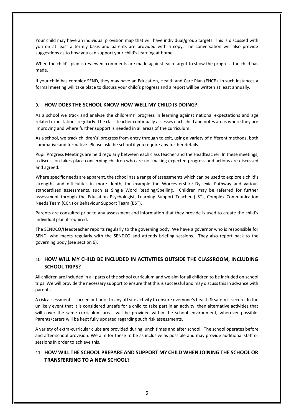Your child may have an individual provision map that will have individual/group targets. This is discussed with you on at least a termly basis and parents are provided with a copy. The conversation will also provide suggestions as to how you can support your child's learning at home.

When the child's plan is reviewed, comments are made against each target to show the progress the child has made.

If your child has complex SEND, they may have an Education, Health and Care Plan (EHCP). In such instances a formal meeting will take place to discuss your child's progress and a report will be written at least annually.

#### 9. **HOW DOES THE SCHOOL KNOW HOW WELL MY CHILD IS DOING?**

As a school we track and analyse the children's' progress in learning against national expectations and age related expectations regularly. The class teacher continually assesses each child and notes areas where they are improving and where further support is needed in all areas of the curriculum.

As a school, we track children's' progress from entry through to exit, using a variety of different methods, both summative and formative. Please ask the school if you require any further details.

Pupil Progress Meetings are held regularly between each class teacher and the Headteacher. In these meetings, a discussion takes place concerning children who are not making expected progress and actions are discussed and agreed.

Where specific needs are apparent, the school has a range of assessments which can be used to explore a child's strengths and difficulties in more depth, for example the Worcestershire Dyslexia Pathway and various standardised assessments, such as Single Word Reading/Spelling. Children may be referred for further assessment through the Education Psychologist, Learning Support Teacher (LST), Complex Communication Needs Team (CCN) or Behaviour Support Team (BST).

Parents are consulted prior to any assessment and information that they provide is used to create the child's individual plan if required.

The SENDCO/Headteacher reports regularly to the governing body. We have a governor who is responsible for SEND, who meets regularly with the SENDCO and attends briefing sessions. They also report back to the governing body (see section 6).

## 10. **HOW WILL MY CHILD BE INCLUDED IN ACTIVITIES OUTSIDE THE CLASSROOM, INCLUDING SCHOOL TRIPS?**

All children are included in all parts of the school curriculum and we aim for all children to be included on school trips. We will provide the necessary support to ensure that this is successful and may discuss this in advance with parents.

A risk assessment is carried out prior to any off site activity to ensure everyone's health & safety is secure. In the unlikely event that it is considered unsafe for a child to take part in an activity, then alternative activities that will cover the same curriculum areas will be provided within the school environment, wherever possible. Parents/carers will be kept fully updated regarding such risk assessments.

A variety of extra-curricular clubs are provided during lunch times and after school. The school operates before and after-school provision. We aim for these to be as inclusive as possible and may provide additional staff or sessions in order to achieve this.

## 11. **HOW WILL THE SCHOOL PREPARE AND SUPPORT MY CHILD WHEN JOINING THE SCHOOL OR TRANSFERRING TO A NEW SCHOOL?**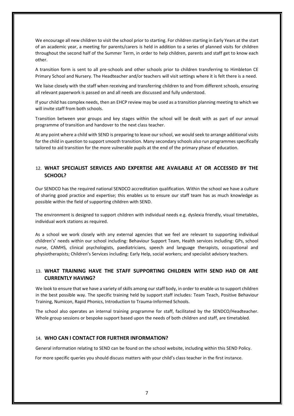We encourage all new children to visit the school prior to starting. For children starting in Early Years at the start of an academic year, a meeting for parents/carers is held in addition to a series of planned visits for children throughout the second half of the Summer Term, in order to help children, parents and staff get to know each other.

A transition form is sent to all pre-schools and other schools prior to children transferring to Himbleton CE Primary School and Nursery. The Headteacher and/or teachers will visit settings where it is felt there is a need.

We liaise closely with the staff when receiving and transferring children to and from different schools, ensuring all relevant paperwork is passed on and all needs are discussed and fully understood.

If your child has complex needs, then an EHCP review may be used as a transition planning meeting to which we will invite staff from both schools.

Transition between year groups and key stages within the school will be dealt with as part of our annual programme of transition and handover to the next class teacher.

At any point where a child with SEND is preparing to leave our school, we would seek to arrange additional visits for the child in question to support smooth transition. Many secondary schools also run programmes specifically tailored to aid transition for the more vulnerable pupils at the end of the primary phase of education.

## 12. **WHAT SPECIALIST SERVICES AND EXPERTISE ARE AVAILABLE AT OR ACCESSED BY THE SCHOOL?**

Our SENDCO has the required national SENDCO accreditation qualification. Within the school we have a culture of sharing good practice and expertise; this enables us to ensure our staff team has as much knowledge as possible within the field of supporting children with SEND.

The environment is designed to support children with individual needs e.g. dyslexia friendly, visual timetables, individual work stations as required.

As a school we work closely with any external agencies that we feel are relevant to supporting individual children's' needs within our school including: Behaviour Support Team, Health services including: GPs, school nurse, CAMHS, clinical psychologists, paediatricians, speech and language therapists, occupational and physiotherapists; Children's Services including: Early Help, social workers; and specialist advisory teachers.

## 13. **WHAT TRAINING HAVE THE STAFF SUPPORTING CHILDREN WITH SEND HAD OR ARE CURRENTLY HAVING?**

We look to ensure that we have a variety of skills among our staff body, in order to enable us to support children in the best possible way. The specific training held by support staff includes: Team Teach, Positive Behaviour Training, Numicon, Rapid Phonics, Introduction to Trauma-Informed Schools.

The school also operates an internal training programme for staff, facilitated by the SENDCO/Headteacher. Whole group sessions or bespoke support based upon the needs of both children and staff, are timetabled.

#### 14. **WHO CAN I CONTACT FOR FURTHER INFORMATION?**

General information relating to SEND can be found on the school website, including within this SEND Policy.

For more specific queries you should discuss matters with your child's class teacher in the first instance.